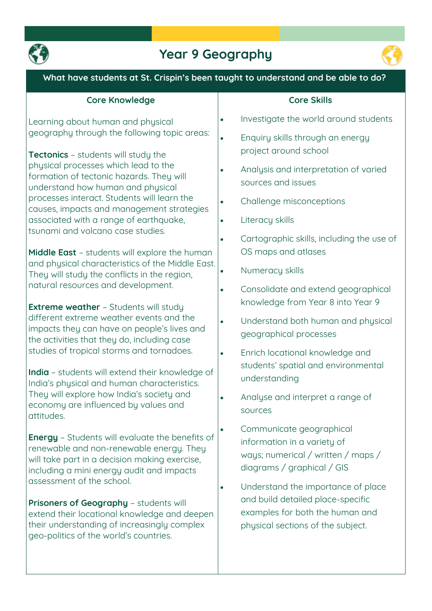

## **Year 9 Geography**



### **What have students at St. Crispin's been taught to understand and be able to do? Core Knowledge Learning about human and physical geography through the following topic areas: Tectonics – students will study the physical processes which lead to the formation of tectonic hazards. They will understand how human and physical processes interact. Students will learn the causes, impacts and management strategies associated with a range of earthquake, tsunami and volcano case studies. Middle East – students will explore the human and physical characteristics of the Middle East. They will study the conflicts in the region, natural resources and development. Extreme weather – Students will study different extreme weather events and the impacts they can have on people's lives and the activities that they do, including case studies of tropical storms and tornadoes. India – students will extend their knowledge of India's physical and human characteristics. They will explore how India's society and economy are influenced by values and attitudes. Energy – Students will evaluate the benefits of renewable and non-renewable energy. They will take part in a decision making exercise, including a mini energy audit and impacts assessment of the school. Prisoners of Geography – students will extend their locational knowledge and deepen their understanding of increasingly complex geo-politics of the world's countries. Core Skills Investigate the world around students Enquiry skills through an energy project around school Analysis and interpretation of varied sources and issues Challenge misconceptions Literacy skills Cartographic skills, including the use of OS maps and atlases Numeracy skills Consolidate and extend geographical knowledge from Year 8 into Year 9 Understand both human and physical geographical processes Enrich locational knowledge and students' spatial and environmental understanding Analyse and interpret a range of sources Communicate geographical information in a variety of ways; numerical / written / maps / diagrams / graphical / GIS Understand the importance of place and build detailed place-specific examples for both the human and physical sections of the subject.**